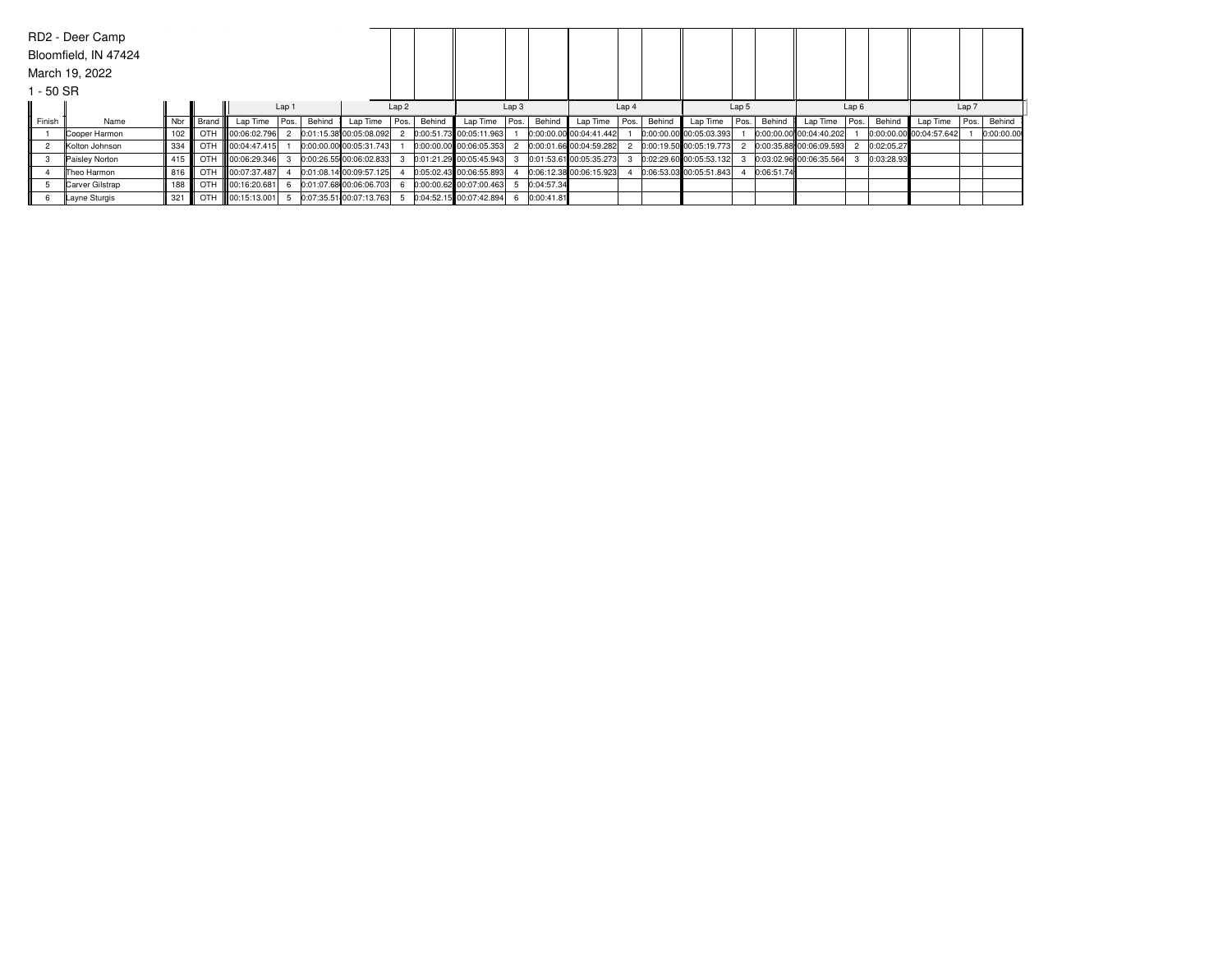|           | RD2 - Deer Camp      |     |             |                   |       |        |                         |                  |        |                         |                  |            |                         |      |        |                         |      |            |                         |      |            |                         |      |            |
|-----------|----------------------|-----|-------------|-------------------|-------|--------|-------------------------|------------------|--------|-------------------------|------------------|------------|-------------------------|------|--------|-------------------------|------|------------|-------------------------|------|------------|-------------------------|------|------------|
|           | Bloomfield, IN 47424 |     |             |                   |       |        |                         |                  |        |                         |                  |            |                         |      |        |                         |      |            |                         |      |            |                         |      |            |
|           | March 19, 2022       |     |             |                   |       |        |                         |                  |        |                         |                  |            |                         |      |        |                         |      |            |                         |      |            |                         |      |            |
| 1 - 50 SR |                      |     |             |                   |       |        |                         |                  |        |                         |                  |            |                         |      |        |                         |      |            |                         |      |            |                         |      |            |
|           |                      |     |             |                   | Lap 1 |        |                         | Lap <sub>2</sub> |        |                         | Lap <sub>3</sub> |            | Lap 4                   |      |        | Lap 5                   |      |            | Lap6                    |      |            | Lap 7                   |      |            |
| Finish    | Name                 | Nbr | l Brand III | Lap Time          | Pos.  | Behind | Lap Time                | Pos.             | Behind | Lap Time                | Pos.             | Behind     | Lap Time                | Pos. | Behind | Lap Time                | Pos. | Behind     | Lap Time                | Pos. | Behind     | Lap Time                | Pos. | Behind     |
|           | Cooper Harmon        | 102 |             | OTH 00:06:02.796  |       |        | 0:01:15.38 00:05:08.092 |                  |        | 0:00:51.73 00:05:11.963 |                  |            | 0:00:00.00 00:04:41.442 |      |        | 0:00:00.00 00:05:03.393 |      |            | 0:00:00.00 00:04:40.202 |      |            | 0:00:00.00 00:04:57.642 |      | 0:00:00.00 |
|           | Kolton Johnson       | 334 |             | OTH 100:04:47.415 |       |        | 0:00:00.00 00:05:31.743 |                  |        | 0:00:00.00 00:06:05.353 |                  |            | 0:00:01.66 00:04:59.282 |      |        | 0:00:19.50 00:05:19.773 |      |            | 0:00:35.88 00:06:09.593 |      | 0:02:05.27 |                         |      |            |
|           | Paisley Norton       | 415 |             | OTH 100:06:29.346 |       |        | 0:00:26.55 00:06:02.833 |                  |        | 0:01:21.29 00:05:45.943 |                  |            | 0:01:53.61 00:05:35.273 |      |        | 0:02:29.60 00:05:53.132 |      |            | 0:03:02.96 00:06:35.564 |      | 0:03:28.93 |                         |      |            |
|           | Theo Harmon          | 816 |             | OTH 100:07:37.487 |       |        | 0:01:08.14 00:09:57.125 |                  |        | 0:05:02.43 00:06:55.893 |                  |            | 0:06:12.38 00:06:15.923 |      |        | 0:06:53.03 00:05:51.843 |      | 0:06:51.74 |                         |      |            |                         |      |            |
|           | Carver Gilstrap      | 188 |             | OTH 100:16:20.681 |       |        | 0:01:07.68 00:06:06.703 |                  |        | 0:00:00.62 00:07:00.463 |                  | 0:04:57.34 |                         |      |        |                         |      |            |                         |      |            |                         |      |            |
|           | Layne Sturgis        | 321 |             | OTH 100:15:13.001 |       |        | 0:07:35.51 00:07:13.763 |                  |        | 0:04:52.15 00:07:42.894 |                  | 0:00:41.81 |                         |      |        |                         |      |            |                         |      |            |                         |      |            |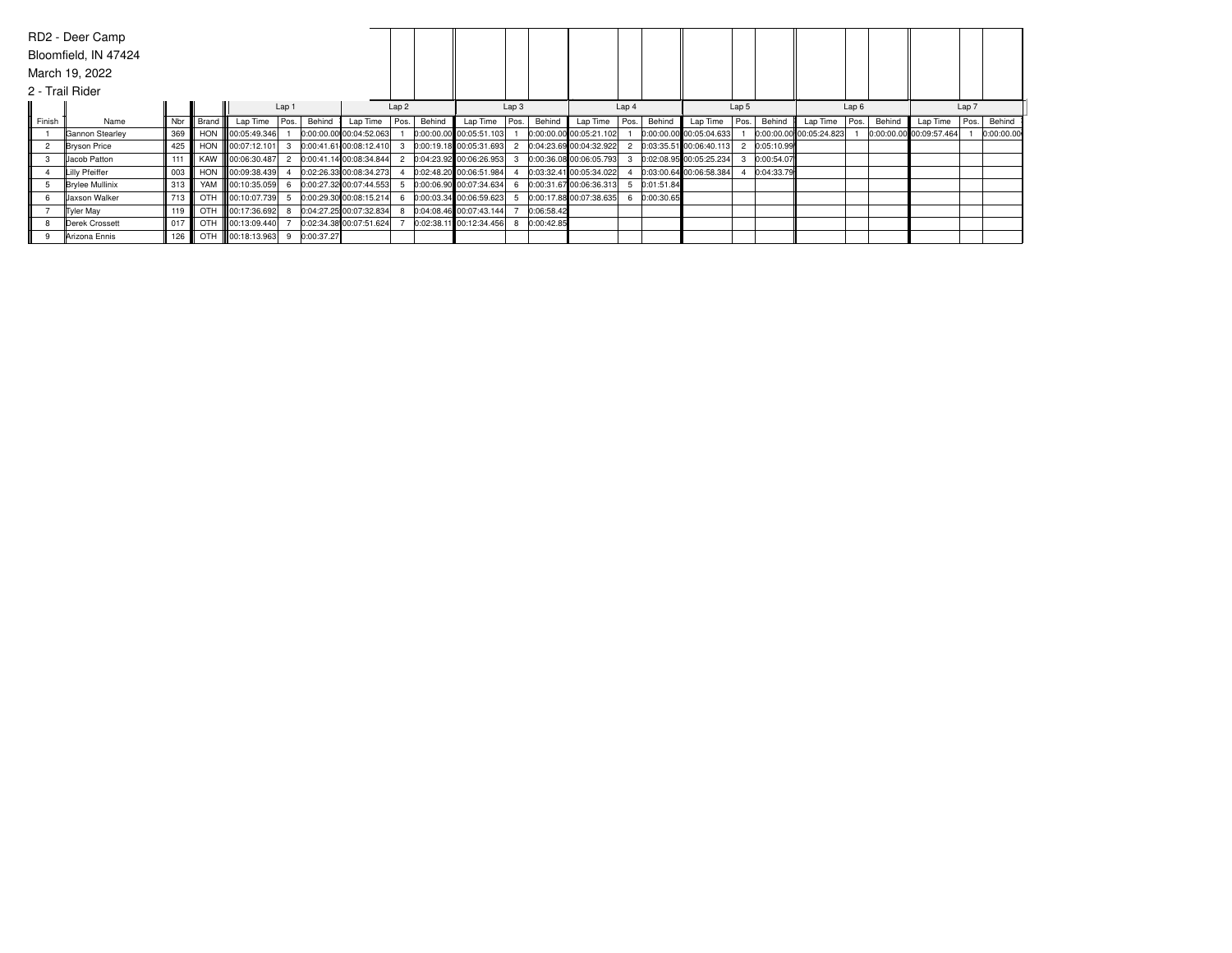|        | RD2 - Deer Camp        |     |           |                    |  |            |                         |      |        |                           |      |            |                         |      |            |                           |      |            |                         |      |        |                         |      |            |
|--------|------------------------|-----|-----------|--------------------|--|------------|-------------------------|------|--------|---------------------------|------|------------|-------------------------|------|------------|---------------------------|------|------------|-------------------------|------|--------|-------------------------|------|------------|
|        | Bloomfield, IN 47424   |     |           |                    |  |            |                         |      |        |                           |      |            |                         |      |            |                           |      |            |                         |      |        |                         |      |            |
|        | March 19, 2022         |     |           |                    |  |            |                         |      |        |                           |      |            |                         |      |            |                           |      |            |                         |      |        |                         |      |            |
|        | 2 - Trail Rider        |     |           |                    |  |            |                         |      |        |                           |      |            |                         |      |            |                           |      |            |                         |      |        |                         |      |            |
|        |                        |     |           | Lap 1              |  |            | Lap <sub>2</sub>        |      |        | Lap <sub>3</sub>          |      |            | Lap 4                   |      |            | Lap 5                     |      |            | Lap6                    |      |        | Lap 7                   |      |            |
| Finish | Name                   | Nbr | Brand III | Lap Time   Pos.    |  | Behind     | Lap Time                | Pos. | Behind | Lap Time                  | Pos. | Behind     | Lap Time                | Pos. | Behind     | Lap Time                  | Pos. | Behind     | Lap Time                | Pos. | Behind | Lap Time                | Pos. | Behind     |
|        | Gannon Stearley        | 369 |           | HON 100:05:49.346  |  |            | 0:00:00.00 00:04:52.063 |      |        | 0:00:00.00 00:05:51.103   |      |            | 0:00:00.00 00:05:21.102 |      |            | 0:00:00.00 00:05:04.633   |      |            | 0:00:00.00 00:05:24.823 |      |        | 0:00:00.00 00:09:57.464 |      | 0:00:00.00 |
|        | <b>Bryson Price</b>    | 425 |           | HON 100:07:12.101  |  |            | 0:00:41.61 00:08:12.410 |      |        | 0:00:19.18 00:05:31.693   |      |            | 0:04:23.69 00:04:32.922 |      |            | $0:03:35.51$ 00:06:40.113 |      | 0:05:10.99 |                         |      |        |                         |      |            |
|        | Jacob Patton           | 111 |           | KAW 00:06:30.487   |  |            | 0:00:41.14 00:08:34.844 |      |        | 0:04:23.92 00:06:26.953   |      |            | 0:00:36.08 00:06:05.793 |      |            | 0:02:08.95 00:05:25.234   |      | 0:00:54.07 |                         |      |        |                         |      |            |
|        | Lilly Pfeiffer         | 003 |           | HON 00:09:38.439   |  |            | 0:02:26.33 00:08:34.273 |      |        | 0:02:48.20 00:06:51.984   |      |            | 0:03:32.41 00:05:34.022 |      |            | 0:03:00.64 00:06:58.384   |      | 0:04:33.79 |                         |      |        |                         |      |            |
|        | <b>Brylee Mullinix</b> | 313 |           | YAM   00:10:35.059 |  |            | 0:00:27.32 00:07:44.553 |      |        | $0:00:06.90$ 00:07:34.634 |      |            | 0:00:31.67 00:06:36.313 | 5    | 0:01:51.84 |                           |      |            |                         |      |        |                         |      |            |
|        | <b>Jaxson Walker</b>   | 713 |           | OTH 00:10:07.739   |  |            | 0:00:29.30 00:08:15.214 |      |        | 0:00:03.34 00:06:59.623   |      |            | 0:00:17.88 00:07:38.635 |      | 0:00:30.65 |                           |      |            |                         |      |        |                         |      |            |
|        | <b>Tyler May</b>       | 119 |           | OTH 00:17:36.692   |  |            | 0:04:27.25 00:07:32.834 |      |        | 0:04:08.46 00:07:43.144   |      | 0:06:58.42 |                         |      |            |                           |      |            |                         |      |        |                         |      |            |
|        | Derek Crossett         | 017 |           | OTH 100:13:09.440  |  |            | 0:02:34.38 00:07:51.624 |      |        | 0:02:38.11 00:12:34.456   |      | 0:00:42.85 |                         |      |            |                           |      |            |                         |      |        |                         |      |            |
|        | Arizona Ennis          | 126 |           | OTH 100:18:13.963  |  | 0:00:37.27 |                         |      |        |                           |      |            |                         |      |            |                           |      |            |                         |      |        |                         |      |            |